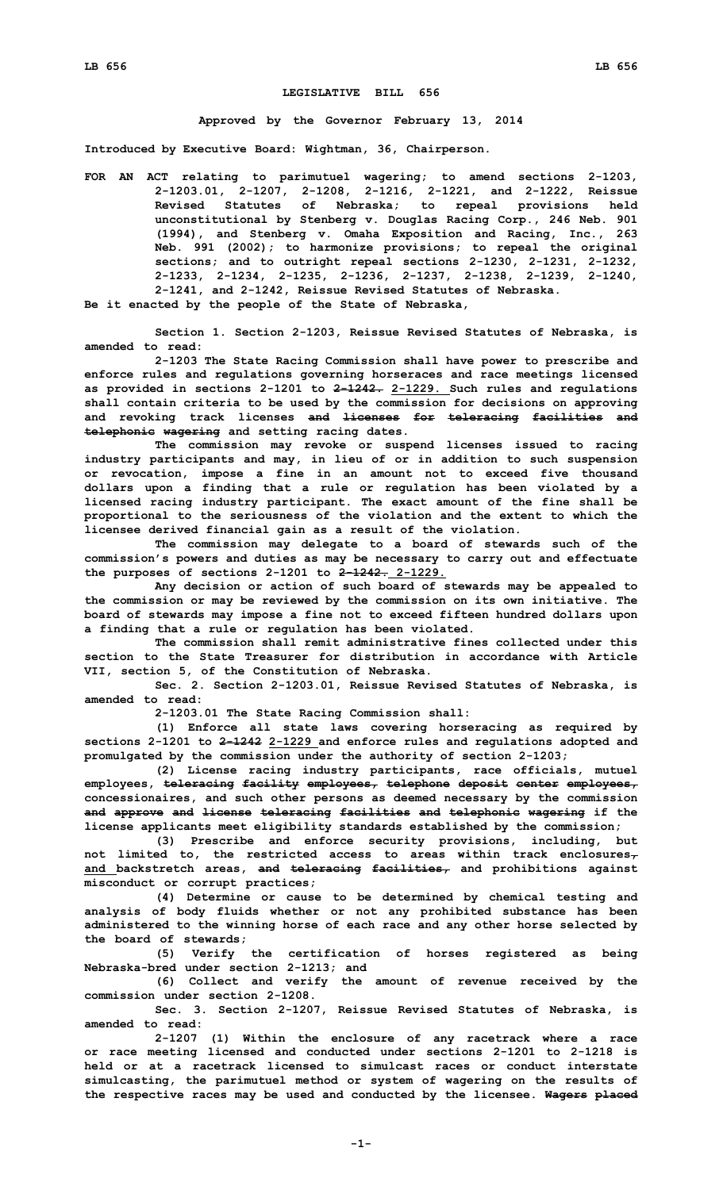## **LEGISLATIVE BILL 656**

## **Approved by the Governor February 13, 2014**

**Introduced by Executive Board: Wightman, 36, Chairperson.**

**FOR AN ACT relating to parimutuel wagering; to amend sections 2-1203, 2-1203.01, 2-1207, 2-1208, 2-1216, 2-1221, and 2-1222, Reissue Revised Statutes of Nebraska; to repeal provisions held unconstitutional by Stenberg v. Douglas Racing Corp., 246 Neb. 901 (1994), and Stenberg v. Omaha Exposition and Racing, Inc., 263 Neb. 991 (2002); to harmonize provisions; to repeal the original sections; and to outright repeal sections 2-1230, 2-1231, 2-1232, 2-1233, 2-1234, 2-1235, 2-1236, 2-1237, 2-1238, 2-1239, 2-1240, 2-1241, and 2-1242, Reissue Revised Statutes of Nebraska. Be it enacted by the people of the State of Nebraska,**

**Section 1. Section 2-1203, Reissue Revised Statutes of Nebraska, is amended to read:**

**2-1203 The State Racing Commission shall have power to prescribe and enforce rules and regulations governing horseraces and race meetings licensed as provided in sections 2-1201 to 2-1242. 2-1229. Such rules and regulations shall contain criteria to be used by the commission for decisions on approving and revoking track licenses and licenses for teleracing facilities and telephonic wagering and setting racing dates.**

**The commission may revoke or suspend licenses issued to racing industry participants and may, in lieu of or in addition to such suspension or revocation, impose <sup>a</sup> fine in an amount not to exceed five thousand dollars upon <sup>a</sup> finding that <sup>a</sup> rule or regulation has been violated by <sup>a</sup> licensed racing industry participant. The exact amount of the fine shall be proportional to the seriousness of the violation and the extent to which the licensee derived financial gain as <sup>a</sup> result of the violation.**

**The commission may delegate to <sup>a</sup> board of stewards such of the commission's powers and duties as may be necessary to carry out and effectuate the purposes of sections 2-1201 to 2-1242. 2-1229.**

**Any decision or action of such board of stewards may be appealed to the commission or may be reviewed by the commission on its own initiative. The board of stewards may impose <sup>a</sup> fine not to exceed fifteen hundred dollars upon <sup>a</sup> finding that <sup>a</sup> rule or regulation has been violated.**

**The commission shall remit administrative fines collected under this section to the State Treasurer for distribution in accordance with Article VII, section 5, of the Constitution of Nebraska.**

**Sec. 2. Section 2-1203.01, Reissue Revised Statutes of Nebraska, is amended to read:**

**2-1203.01 The State Racing Commission shall:**

**(1) Enforce all state laws covering horseracing as required by sections 2-1201 to 2-1242 2-1229 and enforce rules and regulations adopted and promulgated by the commission under the authority of section 2-1203;**

**(2) License racing industry participants, race officials, mutuel employees, teleracing facility employees, telephone deposit center employees, concessionaires, and such other persons as deemed necessary by the commission and approve and license teleracing facilities and telephonic wagering if the license applicants meet eligibility standards established by the commission;**

**(3) Prescribe and enforce security provisions, including, but not limited to, the restricted access to areas within track enclosures, and backstretch areas, and teleracing facilities, and prohibitions against misconduct or corrupt practices;**

**(4) Determine or cause to be determined by chemical testing and analysis of body fluids whether or not any prohibited substance has been administered to the winning horse of each race and any other horse selected by the board of stewards;**

**(5) Verify the certification of horses registered as being Nebraska-bred under section 2-1213; and**

**(6) Collect and verify the amount of revenue received by the commission under section 2-1208.**

**Sec. 3. Section 2-1207, Reissue Revised Statutes of Nebraska, is amended to read:**

**2-1207 (1) Within the enclosure of any racetrack where <sup>a</sup> race or race meeting licensed and conducted under sections 2-1201 to 2-1218 is held or at a racetrack licensed to simulcast races or conduct interstate simulcasting, the parimutuel method or system of wagering on the results of the respective races may be used and conducted by the licensee. Wagers placed**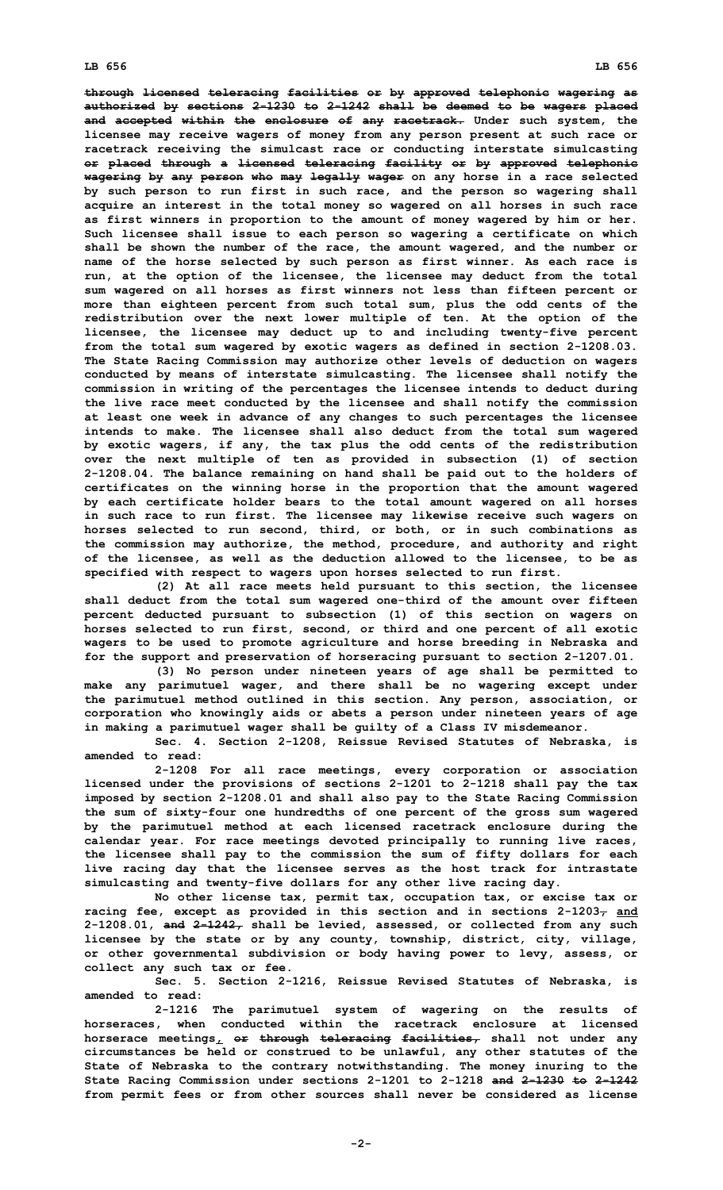**through licensed teleracing facilities or by approved telephonic wagering as authorized by sections 2-1230 to 2-1242 shall be deemed to be wagers placed and accepted within the enclosure of any racetrack. Under such system, the licensee may receive wagers of money from any person present at such race or racetrack receiving the simulcast race or conducting interstate simulcasting or placed through <sup>a</sup> licensed teleracing facility or by approved telephonic wagering by any person who may legally wager on any horse in <sup>a</sup> race selected by such person to run first in such race, and the person so wagering shall acquire an interest in the total money so wagered on all horses in such race as first winners in proportion to the amount of money wagered by him or her. Such licensee shall issue to each person so wagering <sup>a</sup> certificate on which shall be shown the number of the race, the amount wagered, and the number or name of the horse selected by such person as first winner. As each race is run, at the option of the licensee, the licensee may deduct from the total sum wagered on all horses as first winners not less than fifteen percent or more than eighteen percent from such total sum, plus the odd cents of the redistribution over the next lower multiple of ten. At the option of the licensee, the licensee may deduct up to and including twenty-five percent from the total sum wagered by exotic wagers as defined in section 2-1208.03. The State Racing Commission may authorize other levels of deduction on wagers conducted by means of interstate simulcasting. The licensee shall notify the commission in writing of the percentages the licensee intends to deduct during the live race meet conducted by the licensee and shall notify the commission at least one week in advance of any changes to such percentages the licensee intends to make. The licensee shall also deduct from the total sum wagered by exotic wagers, if any, the tax plus the odd cents of the redistribution over the next multiple of ten as provided in subsection (1) of section 2-1208.04. The balance remaining on hand shall be paid out to the holders of certificates on the winning horse in the proportion that the amount wagered by each certificate holder bears to the total amount wagered on all horses in such race to run first. The licensee may likewise receive such wagers on horses selected to run second, third, or both, or in such combinations as the commission may authorize, the method, procedure, and authority and right of the licensee, as well as the deduction allowed to the licensee, to be as specified with respect to wagers upon horses selected to run first.**

**(2) At all race meets held pursuant to this section, the licensee shall deduct from the total sum wagered one-third of the amount over fifteen percent deducted pursuant to subsection (1) of this section on wagers on horses selected to run first, second, or third and one percent of all exotic wagers to be used to promote agriculture and horse breeding in Nebraska and for the support and preservation of horseracing pursuant to section 2-1207.01.**

**(3) No person under nineteen years of age shall be permitted to make any parimutuel wager, and there shall be no wagering except under the parimutuel method outlined in this section. Any person, association, or corporation who knowingly aids or abets <sup>a</sup> person under nineteen years of age in making <sup>a</sup> parimutuel wager shall be guilty of <sup>a</sup> Class IV misdemeanor.**

**Sec. 4. Section 2-1208, Reissue Revised Statutes of Nebraska, is amended to read:**

**2-1208 For all race meetings, every corporation or association licensed under the provisions of sections 2-1201 to 2-1218 shall pay the tax imposed by section 2-1208.01 and shall also pay to the State Racing Commission the sum of sixty-four one hundredths of one percent of the gross sum wagered by the parimutuel method at each licensed racetrack enclosure during the calendar year. For race meetings devoted principally to running live races, the licensee shall pay to the commission the sum of fifty dollars for each live racing day that the licensee serves as the host track for intrastate simulcasting and twenty-five dollars for any other live racing day.**

**No other license tax, permit tax, occupation tax, or excise tax or racing fee, except as provided in this section and in sections 2-1203, and 2-1208.01, and 2-1242, shall be levied, assessed, or collected from any such licensee by the state or by any county, township, district, city, village, or other governmental subdivision or body having power to levy, assess, or collect any such tax or fee.**

**Sec. 5. Section 2-1216, Reissue Revised Statutes of Nebraska, is amended to read:**

**2-1216 The parimutuel system of wagering on the results of horseraces, when conducted within the racetrack enclosure at licensed horserace meetings, or through teleracing facilities, shall not under any circumstances be held or construed to be unlawful, any other statutes of the State of Nebraska to the contrary notwithstanding. The money inuring to the State Racing Commission under sections 2-1201 to 2-1218 and 2-1230 to 2-1242 from permit fees or from other sources shall never be considered as license**